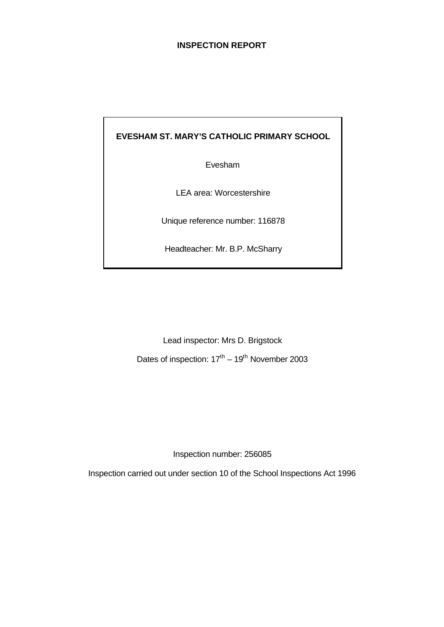# **INSPECTION REPORT**

**EVESHAM ST. MARY'S CATHOLIC PRIMARY SCHOOL**

Evesham

LEA area: Worcestershire

Unique reference number: 116878

Headteacher: Mr. B.P. McSharry

Lead inspector: Mrs D. Brigstock Dates of inspection:  $17<sup>th</sup> - 19<sup>th</sup>$  November 2003

Inspection number: 256085

Inspection carried out under section 10 of the School Inspections Act 1996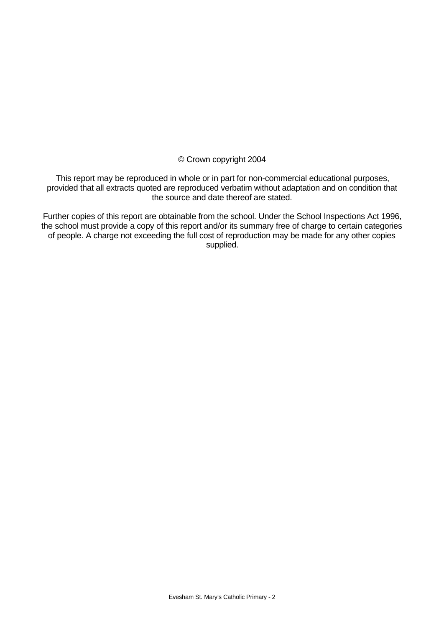© Crown copyright 2004

This report may be reproduced in whole or in part for non-commercial educational purposes, provided that all extracts quoted are reproduced verbatim without adaptation and on condition that the source and date thereof are stated.

Further copies of this report are obtainable from the school. Under the School Inspections Act 1996, the school must provide a copy of this report and/or its summary free of charge to certain categories of people. A charge not exceeding the full cost of reproduction may be made for any other copies supplied.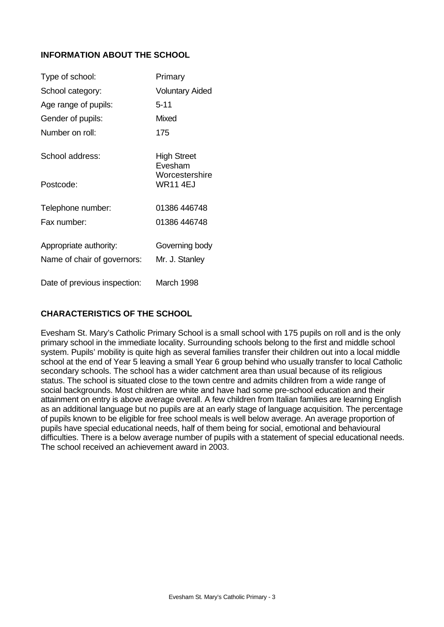# **INFORMATION ABOUT THE SCHOOL**

| Type of school:                                       | Primary                           |
|-------------------------------------------------------|-----------------------------------|
| School category:                                      | <b>Voluntary Aided</b>            |
| Age range of pupils:                                  | $5 - 11$                          |
| Gender of pupils:                                     | Mixed                             |
| Number on roll:                                       | 175                               |
| School address:                                       | High Street<br>Evesham            |
| Postcode:                                             | Worcestershire<br><b>WR11 4EJ</b> |
| Telephone number:                                     | 01386 446748                      |
| Fax number:                                           | 01386 446748                      |
| Appropriate authority:<br>Name of chair of governors: | Governing body<br>Mr. J. Stanley  |
| Date of previous inspection:                          | March 1998                        |

# **CHARACTERISTICS OF THE SCHOOL**

Evesham St. Mary's Catholic Primary School is a small school with 175 pupils on roll and is the only primary school in the immediate locality. Surrounding schools belong to the first and middle school system. Pupils' mobility is quite high as several families transfer their children out into a local middle school at the end of Year 5 leaving a small Year 6 group behind who usually transfer to local Catholic secondary schools. The school has a wider catchment area than usual because of its religious status. The school is situated close to the town centre and admits children from a wide range of social backgrounds. Most children are white and have had some pre-school education and their attainment on entry is above average overall. A few children from Italian families are learning English as an additional language but no pupils are at an early stage of language acquisition. The percentage of pupils known to be eligible for free school meals is well below average. An average proportion of pupils have special educational needs, half of them being for social, emotional and behavioural difficulties. There is a below average number of pupils with a statement of special educational needs. The school received an achievement award in 2003.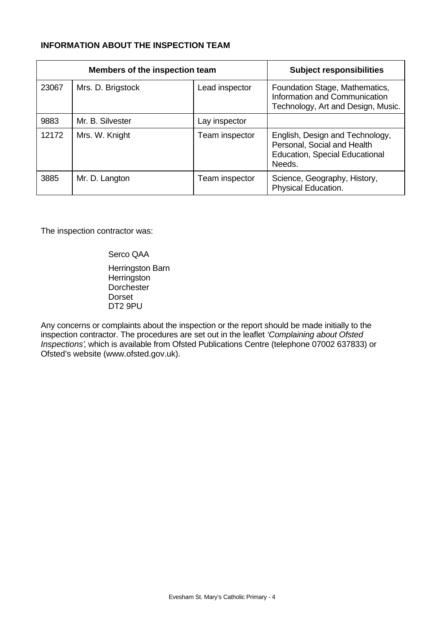# **INFORMATION ABOUT THE INSPECTION TEAM**

|       | Members of the inspection team | <b>Subject responsibilities</b> |                                                                                                                   |
|-------|--------------------------------|---------------------------------|-------------------------------------------------------------------------------------------------------------------|
| 23067 | Mrs. D. Brigstock              | Lead inspector                  | Foundation Stage, Mathematics,<br>Information and Communication<br>Technology, Art and Design, Music.             |
| 9883  | Mr. B. Silvester               | Lay inspector                   |                                                                                                                   |
| 12172 | Mrs. W. Knight                 | Team inspector                  | English, Design and Technology,<br>Personal, Social and Health<br><b>Education, Special Educational</b><br>Needs. |
| 3885  | Mr. D. Langton                 | Team inspector                  | Science, Geography, History,<br>Physical Education.                                                               |

The inspection contractor was:

Serco QAA Herringston Barn **Herringston Dorchester** Dorset DT2 9PU

Any concerns or complaints about the inspection or the report should be made initially to the inspection contractor. The procedures are set out in the leaflet *'Complaining about Ofsted Inspections'*, which is available from Ofsted Publications Centre (telephone 07002 637833) or Ofsted's website (www.ofsted.gov.uk).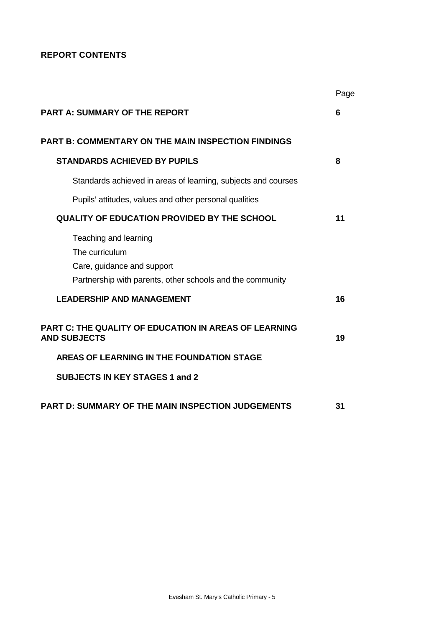# **REPORT CONTENTS**

|                                                                                                                                    | Page |
|------------------------------------------------------------------------------------------------------------------------------------|------|
| <b>PART A: SUMMARY OF THE REPORT</b>                                                                                               | 6    |
| <b>PART B: COMMENTARY ON THE MAIN INSPECTION FINDINGS</b>                                                                          |      |
| <b>STANDARDS ACHIEVED BY PUPILS</b>                                                                                                | 8    |
| Standards achieved in areas of learning, subjects and courses                                                                      |      |
| Pupils' attitudes, values and other personal qualities                                                                             |      |
| <b>QUALITY OF EDUCATION PROVIDED BY THE SCHOOL</b>                                                                                 | 11   |
| Teaching and learning<br>The curriculum<br>Care, guidance and support<br>Partnership with parents, other schools and the community |      |
| <b>LEADERSHIP AND MANAGEMENT</b>                                                                                                   | 16   |
| PART C: THE QUALITY OF EDUCATION IN AREAS OF LEARNING<br><b>AND SUBJECTS</b>                                                       | 19   |
| AREAS OF LEARNING IN THE FOUNDATION STAGE                                                                                          |      |
| <b>SUBJECTS IN KEY STAGES 1 and 2</b>                                                                                              |      |
| <b>PART D: SUMMARY OF THE MAIN INSPECTION JUDGEMENTS</b>                                                                           | 31   |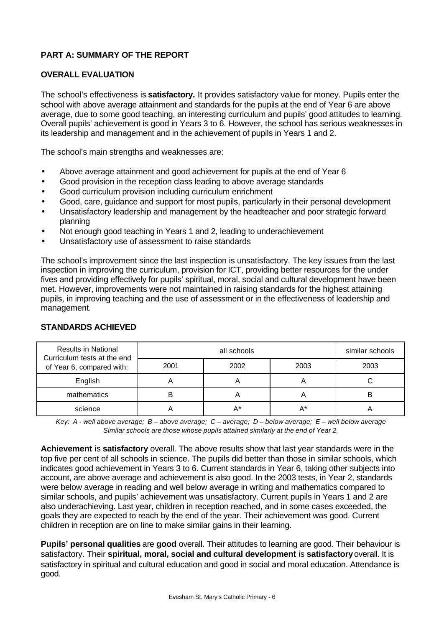# **PART A: SUMMARY OF THE REPORT**

## **OVERALL EVALUATION**

The school's effectiveness is **satisfactory.** It provides satisfactory value for money. Pupils enter the school with above average attainment and standards for the pupils at the end of Year 6 are above average, due to some good teaching, an interesting curriculum and pupils' good attitudes to learning. Overall pupils' achievement is good in Years 3 to 6. However, the school has serious weaknesses in its leadership and management and in the achievement of pupils in Years 1 and 2.

The school's main strengths and weaknesses are:

- Above average attainment and good achievement for pupils at the end of Year 6
- Good provision in the reception class leading to above average standards
- Good curriculum provision including curriculum enrichment
- Good, care, guidance and support for most pupils, particularly in their personal development
- Unsatisfactory leadership and management by the headteacher and poor strategic forward planning
- Not enough good teaching in Years 1 and 2, leading to underachievement
- Unsatisfactory use of assessment to raise standards

The school's improvement since the last inspection is unsatisfactory. The key issues from the last inspection in improving the curriculum, provision for ICT, providing better resources for the under fives and providing effectively for pupils' spiritual, moral, social and cultural development have been met. However, improvements were not maintained in raising standards for the highest attaining pupils, in improving teaching and the use of assessment or in the effectiveness of leadership and management.

| <b>Results in National</b><br>Curriculum tests at the end |      | similar schools |      |      |
|-----------------------------------------------------------|------|-----------------|------|------|
| of Year 6, compared with:                                 | 2001 | 2002            | 2003 | 2003 |
| English                                                   |      |                 |      |      |
| mathematics                                               | B    |                 | m    | B    |
| science                                                   |      | A*              |      |      |

# **STANDARDS ACHIEVED**

*Key: A - well above average; B – above average; C – average; D – below average; E – well below average Similar schools are those whose pupils attained similarly at the end of Year 2.*

**Achievement** is **satisfactory** overall. The above results show that last year standards were in the top five per cent of all schools in science. The pupils did better than those in similar schools, which indicates good achievement in Years 3 to 6. Current standards in Year 6, taking other subjects into account, are above average and achievement is also good. In the 2003 tests, in Year 2, standards were below average in reading and well below average in writing and mathematics compared to similar schools, and pupils' achievement was unsatisfactory. Current pupils in Years 1 and 2 are also underachieving. Last year, children in reception reached, and in some cases exceeded, the goals they are expected to reach by the end of the year. Their achievement was good. Current children in reception are on line to make similar gains in their learning.

**Pupils' personal qualities** are **good** overall. Their attitudes to learning are good. Their behaviour is satisfactory. Their **spiritual, moral, social and cultural development** is **satisfactory** overall. It is satisfactory in spiritual and cultural education and good in social and moral education. Attendance is good.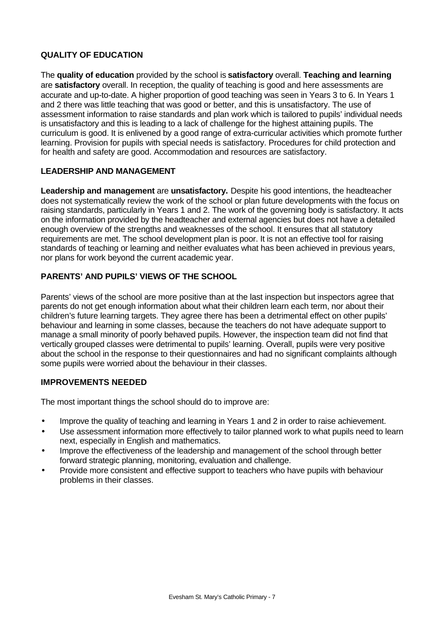# **QUALITY OF EDUCATION**

The **quality of education** provided by the school is **satisfactory** overall. **Teaching and learning** are **satisfactory** overall. In reception, the quality of teaching is good and here assessments are accurate and up-to-date. A higher proportion of good teaching was seen in Years 3 to 6. In Years 1 and 2 there was little teaching that was good or better, and this is unsatisfactory. The use of assessment information to raise standards and plan work which is tailored to pupils' individual needs is unsatisfactory and this is leading to a lack of challenge for the highest attaining pupils. The curriculum is good. It is enlivened by a good range of extra-curricular activities which promote further learning. Provision for pupils with special needs is satisfactory. Procedures for child protection and for health and safety are good. Accommodation and resources are satisfactory.

## **LEADERSHIP AND MANAGEMENT**

**Leadership and management** are **unsatisfactory.** Despite his good intentions, the headteacher does not systematically review the work of the school or plan future developments with the focus on raising standards, particularly in Years 1 and 2. The work of the governing body is satisfactory. It acts on the information provided by the headteacher and external agencies but does not have a detailed enough overview of the strengths and weaknesses of the school. It ensures that all statutory requirements are met. The school development plan is poor. It is not an effective tool for raising standards of teaching or learning and neither evaluates what has been achieved in previous years, nor plans for work beyond the current academic year.

## **PARENTS' AND PUPILS' VIEWS OF THE SCHOOL**

Parents' views of the school are more positive than at the last inspection but inspectors agree that parents do not get enough information about what their children learn each term, nor about their children's future learning targets. They agree there has been a detrimental effect on other pupils' behaviour and learning in some classes, because the teachers do not have adequate support to manage a small minority of poorly behaved pupils. However, the inspection team did not find that vertically grouped classes were detrimental to pupils' learning. Overall, pupils were very positive about the school in the response to their questionnaires and had no significant complaints although some pupils were worried about the behaviour in their classes.

## **IMPROVEMENTS NEEDED**

The most important things the school should do to improve are:

- Improve the quality of teaching and learning in Years 1 and 2 in order to raise achievement.
- Use assessment information more effectively to tailor planned work to what pupils need to learn next, especially in English and mathematics.
- Improve the effectiveness of the leadership and management of the school through better forward strategic planning, monitoring, evaluation and challenge.
- Provide more consistent and effective support to teachers who have pupils with behaviour problems in their classes.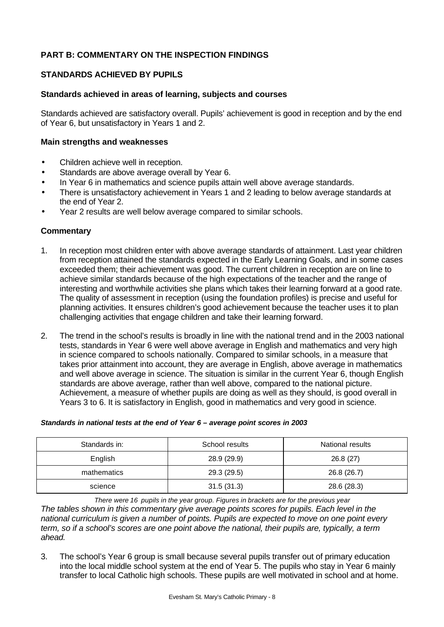# **PART B: COMMENTARY ON THE INSPECTION FINDINGS**

# **STANDARDS ACHIEVED BY PUPILS**

## **Standards achieved in areas of learning, subjects and courses**

Standards achieved are satisfactory overall. Pupils' achievement is good in reception and by the end of Year 6, but unsatisfactory in Years 1 and 2.

### **Main strengths and weaknesses**

- Children achieve well in reception.
- Standards are above average overall by Year 6.
- In Year 6 in mathematics and science pupils attain well above average standards.
- There is unsatisfactory achievement in Years 1 and 2 leading to below average standards at the end of Year 2.
- Year 2 results are well below average compared to similar schools.

## **Commentary**

- 1. In reception most children enter with above average standards of attainment. Last year children from reception attained the standards expected in the Early Learning Goals, and in some cases exceeded them; their achievement was good. The current children in reception are on line to achieve similar standards because of the high expectations of the teacher and the range of interesting and worthwhile activities she plans which takes their learning forward at a good rate. The quality of assessment in reception (using the foundation profiles) is precise and useful for planning activities. It ensures children's good achievement because the teacher uses it to plan challenging activities that engage children and take their learning forward.
- 2. The trend in the school's results is broadly in line with the national trend and in the 2003 national tests, standards in Year 6 were well above average in English and mathematics and very high in science compared to schools nationally. Compared to similar schools, in a measure that takes prior attainment into account, they are average in English, above average in mathematics and well above average in science. The situation is similar in the current Year 6, though English standards are above average, rather than well above, compared to the national picture. Achievement, a measure of whether pupils are doing as well as they should, is good overall in Years 3 to 6. It is satisfactory in English, good in mathematics and very good in science.

| Standards in: | School results | National results |
|---------------|----------------|------------------|
| English       | 28.9 (29.9)    | 26.8(27)         |
| mathematics   | 29.3 (29.5)    | 26.8 (26.7)      |
| science       | 31.5(31.3)     | 28.6 (28.3)      |

#### *Standards in national tests at the end of Year 6 – average point scores in 2003*

*There were 16 pupils in the year group. Figures in brackets are for the previous year The tables shown in this commentary give average points scores for pupils. Each level in the national curriculum is given a number of points. Pupils are expected to move on one point every term, so if a school's scores are one point above the national, their pupils are, typically, a term ahead.*

3. The school's Year 6 group is small because several pupils transfer out of primary education into the local middle school system at the end of Year 5. The pupils who stay in Year 6 mainly transfer to local Catholic high schools. These pupils are well motivated in school and at home.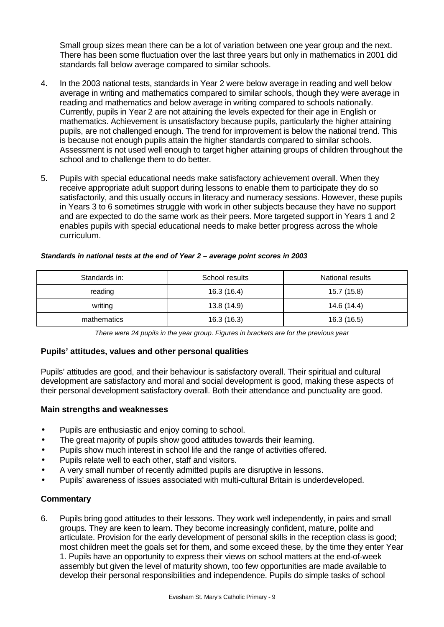Small group sizes mean there can be a lot of variation between one year group and the next. There has been some fluctuation over the last three years but only in mathematics in 2001 did standards fall below average compared to similar schools.

- 4. In the 2003 national tests, standards in Year 2 were below average in reading and well below average in writing and mathematics compared to similar schools, though they were average in reading and mathematics and below average in writing compared to schools nationally. Currently, pupils in Year 2 are not attaining the levels expected for their age in English or mathematics. Achievement is unsatisfactory because pupils, particularly the higher attaining pupils, are not challenged enough. The trend for improvement is below the national trend. This is because not enough pupils attain the higher standards compared to similar schools. Assessment is not used well enough to target higher attaining groups of children throughout the school and to challenge them to do better.
- 5. Pupils with special educational needs make satisfactory achievement overall. When they receive appropriate adult support during lessons to enable them to participate they do so satisfactorily, and this usually occurs in literacy and numeracy sessions. However, these pupils in Years 3 to 6 sometimes struggle with work in other subjects because they have no support and are expected to do the same work as their peers. More targeted support in Years 1 and 2 enables pupils with special educational needs to make better progress across the whole curriculum.

| Standards in: | School results | National results |
|---------------|----------------|------------------|
| reading       | 16.3 (16.4)    | 15.7 (15.8)      |
| writing       | 13.8 (14.9)    | 14.6 (14.4)      |
| mathematics   | 16.3(16.3)     | 16.3 (16.5)      |

#### *Standards in national tests at the end of Year 2 – average point scores in 2003*

*There were 24 pupils in the year group. Figures in brackets are for the previous year*

## **Pupils' attitudes, values and other personal qualities**

Pupils' attitudes are good, and their behaviour is satisfactory overall. Their spiritual and cultural development are satisfactory and moral and social development is good, making these aspects of their personal development satisfactory overall. Both their attendance and punctuality are good.

## **Main strengths and weaknesses**

- Pupils are enthusiastic and enjoy coming to school.
- The great majority of pupils show good attitudes towards their learning.
- Pupils show much interest in school life and the range of activities offered.
- Pupils relate well to each other, staff and visitors.
- A very small number of recently admitted pupils are disruptive in lessons.
- Pupils' awareness of issues associated with multi-cultural Britain is underdeveloped.

## **Commentary**

6. Pupils bring good attitudes to their lessons. They work well independently, in pairs and small groups. They are keen to learn. They become increasingly confident, mature, polite and articulate. Provision for the early development of personal skills in the reception class is good; most children meet the goals set for them, and some exceed these, by the time they enter Year 1. Pupils have an opportunity to express their views on school matters at the end-of-week assembly but given the level of maturity shown, too few opportunities are made available to develop their personal responsibilities and independence. Pupils do simple tasks of school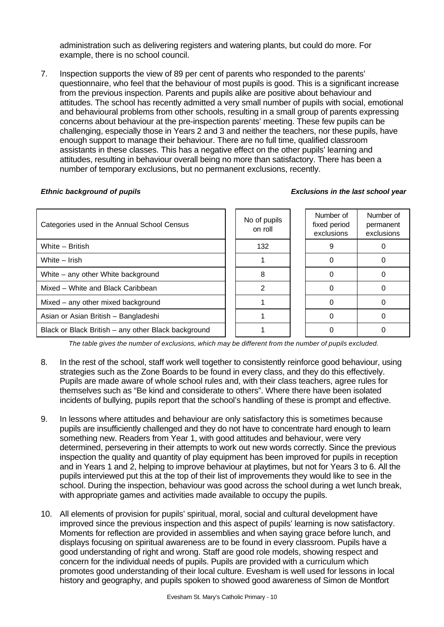administration such as delivering registers and watering plants, but could do more. For example, there is no school council.

7. Inspection supports the view of 89 per cent of parents who responded to the parents' questionnaire, who feel that the behaviour of most pupils is good. This is a significant increase from the previous inspection. Parents and pupils alike are positive about behaviour and attitudes. The school has recently admitted a very small number of pupils with social, emotional and behavioural problems from other schools, resulting in a small group of parents expressing concerns about behaviour at the pre-inspection parents' meeting. These few pupils can be challenging, especially those in Years 2 and 3 and neither the teachers, nor these pupils, have enough support to manage their behaviour. There are no full time, qualified classroom assistants in these classes. This has a negative effect on the other pupils' learning and attitudes, resulting in behaviour overall being no more than satisfactory. There has been a number of temporary exclusions, but no permanent exclusions, recently.

#### *Ethnic background of pupils Exclusions in the last school year*

| Categories used in the Annual School Census         | No of pupils<br>on roll | Number of<br>fixed period<br>exclusions | Number of<br>permanent<br>exclusions |
|-----------------------------------------------------|-------------------------|-----------------------------------------|--------------------------------------|
| White - British                                     | 132                     |                                         |                                      |
| White - Irish                                       |                         |                                         |                                      |
| White – any other White background                  |                         |                                         |                                      |
| Mixed - White and Black Caribbean                   |                         |                                         |                                      |
| Mixed - any other mixed background                  |                         |                                         |                                      |
| Asian or Asian British - Bangladeshi                |                         |                                         |                                      |
| Black or Black British - any other Black background |                         |                                         |                                      |

*The table gives the number of exclusions, which may be different from the number of pupils excluded.*

- 8. In the rest of the school, staff work well together to consistently reinforce good behaviour, using strategies such as the Zone Boards to be found in every class, and they do this effectively. Pupils are made aware of whole school rules and, with their class teachers, agree rules for themselves such as "Be kind and considerate to others". Where there have been isolated incidents of bullying, pupils report that the school's handling of these is prompt and effective.
- 9. In lessons where attitudes and behaviour are only satisfactory this is sometimes because pupils are insufficiently challenged and they do not have to concentrate hard enough to learn something new. Readers from Year 1, with good attitudes and behaviour, were very determined, persevering in their attempts to work out new words correctly. Since the previous inspection the quality and quantity of play equipment has been improved for pupils in reception and in Years 1 and 2, helping to improve behaviour at playtimes, but not for Years 3 to 6. All the pupils interviewed put this at the top of their list of improvements they would like to see in the school. During the inspection, behaviour was good across the school during a wet lunch break, with appropriate games and activities made available to occupy the pupils.
- 10. All elements of provision for pupils' spiritual, moral, social and cultural development have improved since the previous inspection and this aspect of pupils' learning is now satisfactory. Moments for reflection are provided in assemblies and when saying grace before lunch, and displays focusing on spiritual awareness are to be found in every classroom. Pupils have a good understanding of right and wrong. Staff are good role models, showing respect and concern for the individual needs of pupils. Pupils are provided with a curriculum which promotes good understanding of their local culture. Evesham is well used for lessons in local history and geography, and pupils spoken to showed good awareness of Simon de Montfort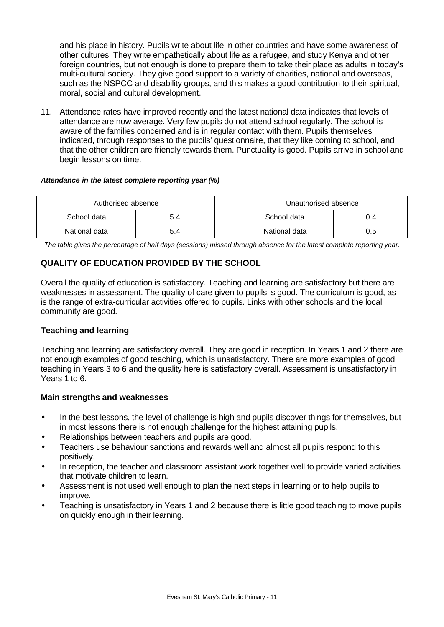and his place in history. Pupils write about life in other countries and have some awareness of other cultures. They write empathetically about life as a refugee, and study Kenya and other foreign countries, but not enough is done to prepare them to take their place as adults in today's multi-cultural society. They give good support to a variety of charities, national and overseas, such as the NSPCC and disability groups, and this makes a good contribution to their spiritual, moral, social and cultural development.

11. Attendance rates have improved recently and the latest national data indicates that levels of attendance are now average. Very few pupils do not attend school regularly. The school is aware of the families concerned and is in regular contact with them. Pupils themselves indicated, through responses to the pupils' questionnaire, that they like coming to school, and that the other children are friendly towards them. Punctuality is good. Pupils arrive in school and begin lessons on time.

### *Attendance in the latest complete reporting year (%)*

| Authorised absence |     | Unauthorised absence |     |
|--------------------|-----|----------------------|-----|
| School data        |     | School data          | 0.4 |
| National data      | 5.4 | National data        | 0.5 |

*The table gives the percentage of half days (sessions) missed through absence for the latest complete reporting year.*

# **QUALITY OF EDUCATION PROVIDED BY THE SCHOOL**

Overall the quality of education is satisfactory. Teaching and learning are satisfactory but there are weaknesses in assessment. The quality of care given to pupils is good. The curriculum is good, as is the range of extra-curricular activities offered to pupils. Links with other schools and the local community are good.

## **Teaching and learning**

Teaching and learning are satisfactory overall. They are good in reception. In Years 1 and 2 there are not enough examples of good teaching, which is unsatisfactory. There are more examples of good teaching in Years 3 to 6 and the quality here is satisfactory overall. Assessment is unsatisfactory in Years 1 to 6.

#### **Main strengths and weaknesses**

- In the best lessons, the level of challenge is high and pupils discover things for themselves, but in most lessons there is not enough challenge for the highest attaining pupils.
- Relationships between teachers and pupils are good.
- Teachers use behaviour sanctions and rewards well and almost all pupils respond to this positively.
- In reception, the teacher and classroom assistant work together well to provide varied activities that motivate children to learn.
- Assessment is not used well enough to plan the next steps in learning or to help pupils to improve.
- Teaching is unsatisfactory in Years 1 and 2 because there is little good teaching to move pupils on quickly enough in their learning.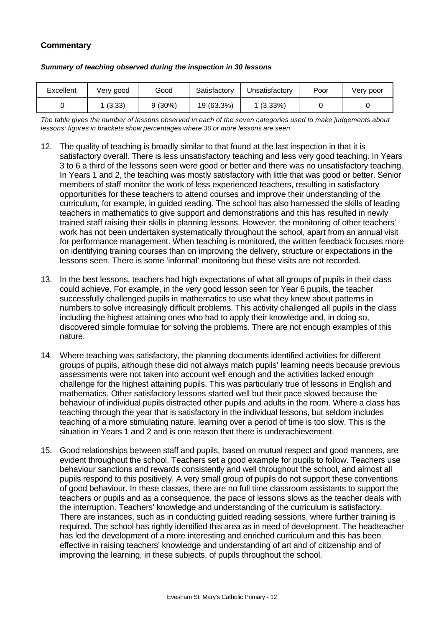# **Commentary**

| Excellent | Very good | Good      | Satisfactory | Unsatisfactory | Poor | Verv poor |
|-----------|-----------|-----------|--------------|----------------|------|-----------|
|           | (3.33)    | $9(30\%)$ | 19 (63.3%)   | 1 (3.33%)      |      |           |

#### *Summary of teaching observed during the inspection in 30 lessons*

*The table gives the number of lessons observed in each of the seven categories used to make judgements about lessons; figures in brackets show percentages where 30 or more lessons are seen.*

- 12. The quality of teaching is broadly similar to that found at the last inspection in that it is satisfactory overall. There is less unsatisfactory teaching and less very good teaching. In Years 3 to 6 a third of the lessons seen were good or better and there was no unsatisfactory teaching. In Years 1 and 2, the teaching was mostly satisfactory with little that was good or better. Senior members of staff monitor the work of less experienced teachers, resulting in satisfactory opportunities for these teachers to attend courses and improve their understanding of the curriculum, for example, in guided reading. The school has also harnessed the skills of leading teachers in mathematics to give support and demonstrations and this has resulted in newly trained staff raising their skills in planning lessons. However, the monitoring of other teachers' work has not been undertaken systematically throughout the school, apart from an annual visit for performance management. When teaching is monitored, the written feedback focuses more on identifying training courses than on improving the delivery, structure or expectations in the lessons seen. There is some 'informal' monitoring but these visits are not recorded.
- 13. In the best lessons, teachers had high expectations of what all groups of pupils in their class could achieve. For example, in the very good lesson seen for Year 6 pupils, the teacher successfully challenged pupils in mathematics to use what they knew about patterns in numbers to solve increasingly difficult problems. This activity challenged all pupils in the class including the highest attaining ones who had to apply their knowledge and, in doing so, discovered simple formulae for solving the problems. There are not enough examples of this nature.
- 14. Where teaching was satisfactory, the planning documents identified activities for different groups of pupils, although these did not always match pupils' learning needs because previous assessments were not taken into account well enough and the activities lacked enough challenge for the highest attaining pupils. This was particularly true of lessons in English and mathematics. Other satisfactory lessons started well but their pace slowed because the behaviour of individual pupils distracted other pupils and adults in the room. Where a class has teaching through the year that is satisfactory in the individual lessons, but seldom includes teaching of a more stimulating nature, learning over a period of time is too slow. This is the situation in Years 1 and 2 and is one reason that there is underachievement.
- 15. Good relationships between staff and pupils, based on mutual respect and good manners, are evident throughout the school. Teachers set a good example for pupils to follow. Teachers use behaviour sanctions and rewards consistently and well throughout the school, and almost all pupils respond to this positively. A very small group of pupils do not support these conventions of good behaviour. In these classes, there are no full time classroom assistants to support the teachers or pupils and as a consequence, the pace of lessons slows as the teacher deals with the interruption. Teachers' knowledge and understanding of the curriculum is satisfactory. There are instances, such as in conducting guided reading sessions, where further training is required. The school has rightly identified this area as in need of development. The headteacher has led the development of a more interesting and enriched curriculum and this has been effective in raising teachers' knowledge and understanding of art and of citizenship and of improving the learning, in these subjects, of pupils throughout the school.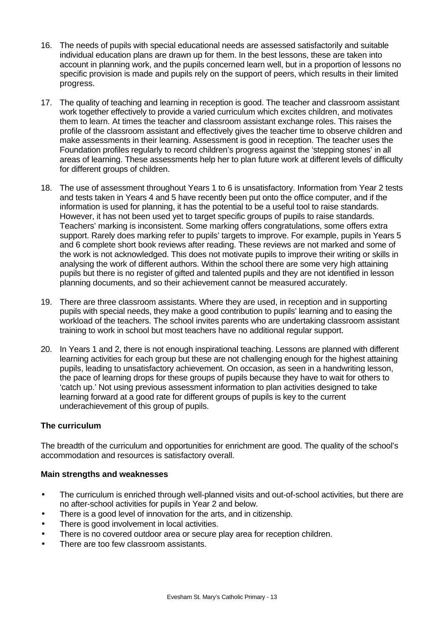- 16. The needs of pupils with special educational needs are assessed satisfactorily and suitable individual education plans are drawn up for them. In the best lessons, these are taken into account in planning work, and the pupils concerned learn well, but in a proportion of lessons no specific provision is made and pupils rely on the support of peers, which results in their limited progress.
- 17. The quality of teaching and learning in reception is good. The teacher and classroom assistant work together effectively to provide a varied curriculum which excites children, and motivates them to learn. At times the teacher and classroom assistant exchange roles. This raises the profile of the classroom assistant and effectively gives the teacher time to observe children and make assessments in their learning. Assessment is good in reception. The teacher uses the Foundation profiles regularly to record children's progress against the 'stepping stones' in all areas of learning. These assessments help her to plan future work at different levels of difficulty for different groups of children.
- 18. The use of assessment throughout Years 1 to 6 is unsatisfactory. Information from Year 2 tests and tests taken in Years 4 and 5 have recently been put onto the office computer, and if the information is used for planning, it has the potential to be a useful tool to raise standards. However, it has not been used yet to target specific groups of pupils to raise standards. Teachers' marking is inconsistent. Some marking offers congratulations, some offers extra support. Rarely does marking refer to pupils' targets to improve. For example, pupils in Years 5 and 6 complete short book reviews after reading. These reviews are not marked and some of the work is not acknowledged. This does not motivate pupils to improve their writing or skills in analysing the work of different authors. Within the school there are some very high attaining pupils but there is no register of gifted and talented pupils and they are not identified in lesson planning documents, and so their achievement cannot be measured accurately.
- 19. There are three classroom assistants. Where they are used, in reception and in supporting pupils with special needs, they make a good contribution to pupils' learning and to easing the workload of the teachers. The school invites parents who are undertaking classroom assistant training to work in school but most teachers have no additional regular support.
- 20. In Years 1 and 2, there is not enough inspirational teaching. Lessons are planned with different learning activities for each group but these are not challenging enough for the highest attaining pupils, leading to unsatisfactory achievement. On occasion, as seen in a handwriting lesson, the pace of learning drops for these groups of pupils because they have to wait for others to 'catch up.' Not using previous assessment information to plan activities designed to take learning forward at a good rate for different groups of pupils is key to the current underachievement of this group of pupils.

## **The curriculum**

The breadth of the curriculum and opportunities for enrichment are good. The quality of the school's accommodation and resources is satisfactory overall.

## **Main strengths and weaknesses**

- The curriculum is enriched through well-planned visits and out-of-school activities, but there are no after-school activities for pupils in Year 2 and below.
- There is a good level of innovation for the arts, and in citizenship.
- There is good involvement in local activities.
- There is no covered outdoor area or secure play area for reception children.
- There are too few classroom assistants.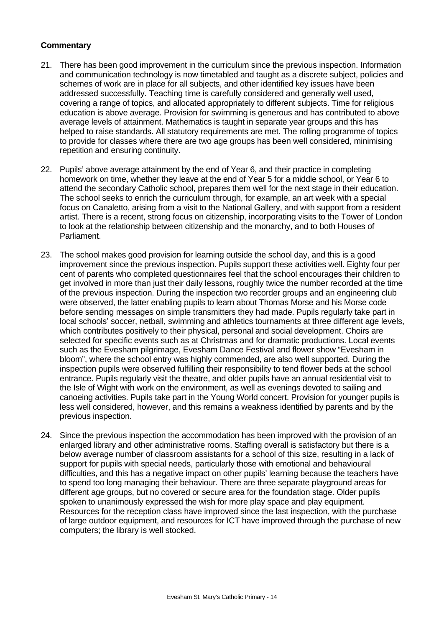- 21. There has been good improvement in the curriculum since the previous inspection. Information and communication technology is now timetabled and taught as a discrete subject, policies and schemes of work are in place for all subjects, and other identified key issues have been addressed successfully. Teaching time is carefully considered and generally well used, covering a range of topics, and allocated appropriately to different subjects. Time for religious education is above average. Provision for swimming is generous and has contributed to above average levels of attainment. Mathematics is taught in separate year groups and this has helped to raise standards. All statutory requirements are met. The rolling programme of topics to provide for classes where there are two age groups has been well considered, minimising repetition and ensuring continuity.
- 22. Pupils' above average attainment by the end of Year 6, and their practice in completing homework on time, whether they leave at the end of Year 5 for a middle school, or Year 6 to attend the secondary Catholic school, prepares them well for the next stage in their education. The school seeks to enrich the curriculum through, for example, an art week with a special focus on Canaletto, arising from a visit to the National Gallery, and with support from a resident artist. There is a recent, strong focus on citizenship, incorporating visits to the Tower of London to look at the relationship between citizenship and the monarchy, and to both Houses of Parliament.
- 23. The school makes good provision for learning outside the school day, and this is a good improvement since the previous inspection. Pupils support these activities well. Eighty four per cent of parents who completed questionnaires feel that the school encourages their children to get involved in more than just their daily lessons, roughly twice the number recorded at the time of the previous inspection. During the inspection two recorder groups and an engineering club were observed, the latter enabling pupils to learn about Thomas Morse and his Morse code before sending messages on simple transmitters they had made. Pupils regularly take part in local schools' soccer, netball, swimming and athletics tournaments at three different age levels, which contributes positively to their physical, personal and social development. Choirs are selected for specific events such as at Christmas and for dramatic productions. Local events such as the Evesham pilgrimage, Evesham Dance Festival and flower show "Evesham in bloom", where the school entry was highly commended, are also well supported. During the inspection pupils were observed fulfilling their responsibility to tend flower beds at the school entrance. Pupils regularly visit the theatre, and older pupils have an annual residential visit to the Isle of Wight with work on the environment, as well as evenings devoted to sailing and canoeing activities. Pupils take part in the Young World concert. Provision for younger pupils is less well considered, however, and this remains a weakness identified by parents and by the previous inspection.
- 24. Since the previous inspection the accommodation has been improved with the provision of an enlarged library and other administrative rooms. Staffing overall is satisfactory but there is a below average number of classroom assistants for a school of this size, resulting in a lack of support for pupils with special needs, particularly those with emotional and behavioural difficulties, and this has a negative impact on other pupils' learning because the teachers have to spend too long managing their behaviour. There are three separate playground areas for different age groups, but no covered or secure area for the foundation stage. Older pupils spoken to unanimously expressed the wish for more play space and play equipment. Resources for the reception class have improved since the last inspection, with the purchase of large outdoor equipment, and resources for ICT have improved through the purchase of new computers; the library is well stocked.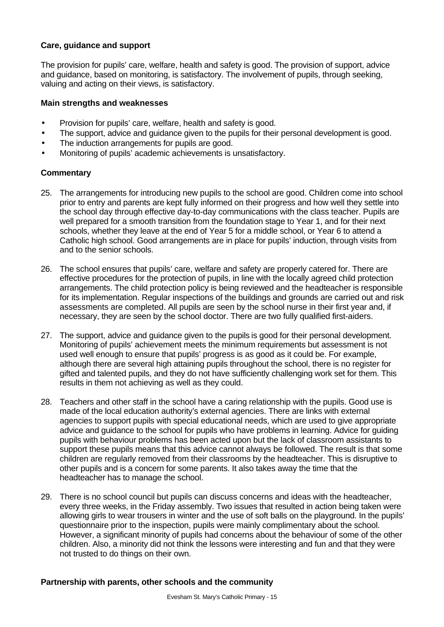## **Care, guidance and support**

The provision for pupils' care, welfare, health and safety is good. The provision of support, advice and guidance, based on monitoring, is satisfactory. The involvement of pupils, through seeking, valuing and acting on their views, is satisfactory.

#### **Main strengths and weaknesses**

- Provision for pupils' care, welfare, health and safety is good.
- The support, advice and guidance given to the pupils for their personal development is good.
- The induction arrangements for pupils are good.
- Monitoring of pupils' academic achievements is unsatisfactory.

#### **Commentary**

- 25. The arrangements for introducing new pupils to the school are good. Children come into school prior to entry and parents are kept fully informed on their progress and how well they settle into the school day through effective day-to-day communications with the class teacher. Pupils are well prepared for a smooth transition from the foundation stage to Year 1, and for their next schools, whether they leave at the end of Year 5 for a middle school, or Year 6 to attend a Catholic high school. Good arrangements are in place for pupils' induction, through visits from and to the senior schools.
- 26. The school ensures that pupils' care, welfare and safety are properly catered for. There are effective procedures for the protection of pupils, in line with the locally agreed child protection arrangements. The child protection policy is being reviewed and the headteacher is responsible for its implementation. Regular inspections of the buildings and grounds are carried out and risk assessments are completed. All pupils are seen by the school nurse in their first year and, if necessary, they are seen by the school doctor. There are two fully qualified first-aiders.
- 27. The support, advice and guidance given to the pupils is good for their personal development. Monitoring of pupils' achievement meets the minimum requirements but assessment is not used well enough to ensure that pupils' progress is as good as it could be. For example, although there are several high attaining pupils throughout the school, there is no register for gifted and talented pupils, and they do not have sufficiently challenging work set for them. This results in them not achieving as well as they could.
- 28. Teachers and other staff in the school have a caring relationship with the pupils. Good use is made of the local education authority's external agencies. There are links with external agencies to support pupils with special educational needs, which are used to give appropriate advice and guidance to the school for pupils who have problems in learning. Advice for guiding pupils with behaviour problems has been acted upon but the lack of classroom assistants to support these pupils means that this advice cannot always be followed. The result is that some children are regularly removed from their classrooms by the headteacher. This is disruptive to other pupils and is a concern for some parents. It also takes away the time that the headteacher has to manage the school.
- 29. There is no school council but pupils can discuss concerns and ideas with the headteacher, every three weeks, in the Friday assembly. Two issues that resulted in action being taken were allowing girls to wear trousers in winter and the use of soft balls on the playground. In the pupils' questionnaire prior to the inspection, pupils were mainly complimentary about the school. However, a significant minority of pupils had concerns about the behaviour of some of the other children. Also, a minority did not think the lessons were interesting and fun and that they were not trusted to do things on their own.

#### **Partnership with parents, other schools and the community**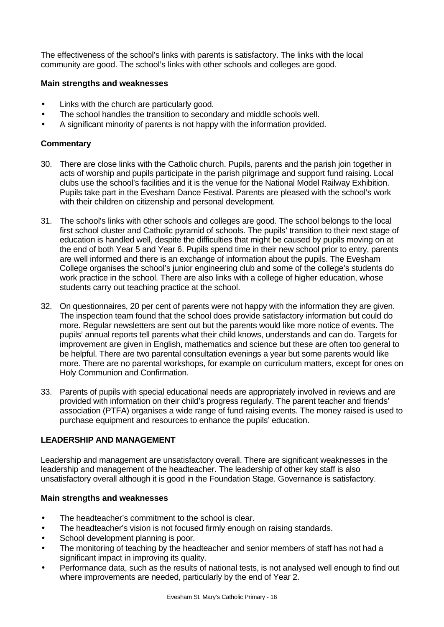The effectiveness of the school's links with parents is satisfactory. The links with the local community are good. The school's links with other schools and colleges are good.

## **Main strengths and weaknesses**

- Links with the church are particularly good.
- The school handles the transition to secondary and middle schools well.
- A significant minority of parents is not happy with the information provided.

# **Commentary**

- 30. There are close links with the Catholic church. Pupils, parents and the parish join together in acts of worship and pupils participate in the parish pilgrimage and support fund raising. Local clubs use the school's facilities and it is the venue for the National Model Railway Exhibition. Pupils take part in the Evesham Dance Festival. Parents are pleased with the school's work with their children on citizenship and personal development.
- 31. The school's links with other schools and colleges are good. The school belongs to the local first school cluster and Catholic pyramid of schools. The pupils' transition to their next stage of education is handled well, despite the difficulties that might be caused by pupils moving on at the end of both Year 5 and Year 6. Pupils spend time in their new school prior to entry, parents are well informed and there is an exchange of information about the pupils. The Evesham College organises the school's junior engineering club and some of the college's students do work practice in the school. There are also links with a college of higher education, whose students carry out teaching practice at the school.
- 32. On questionnaires, 20 per cent of parents were not happy with the information they are given. The inspection team found that the school does provide satisfactory information but could do more. Regular newsletters are sent out but the parents would like more notice of events. The pupils' annual reports tell parents what their child knows, understands and can do. Targets for improvement are given in English, mathematics and science but these are often too general to be helpful. There are two parental consultation evenings a year but some parents would like more. There are no parental workshops, for example on curriculum matters, except for ones on Holy Communion and Confirmation.
- 33. Parents of pupils with special educational needs are appropriately involved in reviews and are provided with information on their child's progress regularly. The parent teacher and friends' association (PTFA) organises a wide range of fund raising events. The money raised is used to purchase equipment and resources to enhance the pupils' education.

## **LEADERSHIP AND MANAGEMENT**

Leadership and management are unsatisfactory overall. There are significant weaknesses in the leadership and management of the headteacher. The leadership of other key staff is also unsatisfactory overall although it is good in the Foundation Stage. Governance is satisfactory.

## **Main strengths and weaknesses**

- The headteacher's commitment to the school is clear.
- The headteacher's vision is not focused firmly enough on raising standards.
- School development planning is poor.
- The monitoring of teaching by the headteacher and senior members of staff has not had a significant impact in improving its quality.
- Performance data, such as the results of national tests, is not analysed well enough to find out where improvements are needed, particularly by the end of Year 2.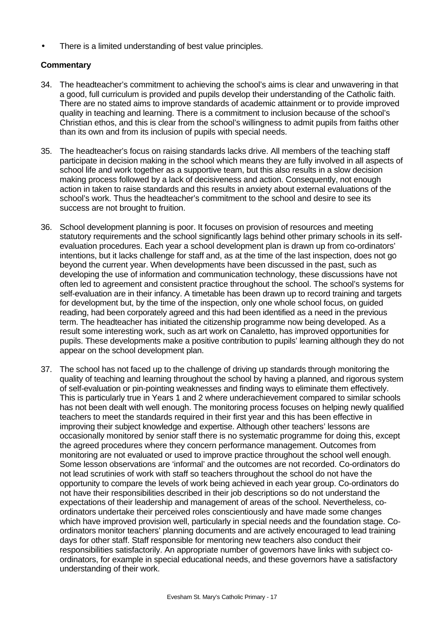There is a limited understanding of best value principles.

- 34. The headteacher's commitment to achieving the school's aims is clear and unwavering in that a good, full curriculum is provided and pupils develop their understanding of the Catholic faith. There are no stated aims to improve standards of academic attainment or to provide improved quality in teaching and learning. There is a commitment to inclusion because of the school's Christian ethos, and this is clear from the school's willingness to admit pupils from faiths other than its own and from its inclusion of pupils with special needs.
- 35. The headteacher's focus on raising standards lacks drive. All members of the teaching staff participate in decision making in the school which means they are fully involved in all aspects of school life and work together as a supportive team, but this also results in a slow decision making process followed by a lack of decisiveness and action. Consequently, not enough action in taken to raise standards and this results in anxiety about external evaluations of the school's work. Thus the headteacher's commitment to the school and desire to see its success are not brought to fruition.
- 36. School development planning is poor. It focuses on provision of resources and meeting statutory requirements and the school significantly lags behind other primary schools in its selfevaluation procedures. Each year a school development plan is drawn up from co-ordinators' intentions, but it lacks challenge for staff and, as at the time of the last inspection, does not go beyond the current year. When developments have been discussed in the past, such as developing the use of information and communication technology, these discussions have not often led to agreement and consistent practice throughout the school. The school's systems for self-evaluation are in their infancy. A timetable has been drawn up to record training and targets for development but, by the time of the inspection, only one whole school focus, on guided reading, had been corporately agreed and this had been identified as a need in the previous term. The headteacher has initiated the citizenship programme now being developed. As a result some interesting work, such as art work on Canaletto, has improved opportunities for pupils. These developments make a positive contribution to pupils' learning although they do not appear on the school development plan.
- 37. The school has not faced up to the challenge of driving up standards through monitoring the quality of teaching and learning throughout the school by having a planned, and rigorous system of self-evaluation or pin-pointing weaknesses and finding ways to eliminate them effectively. This is particularly true in Years 1 and 2 where underachievement compared to similar schools has not been dealt with well enough. The monitoring process focuses on helping newly qualified teachers to meet the standards required in their first year and this has been effective in improving their subject knowledge and expertise. Although other teachers' lessons are occasionally monitored by senior staff there is no systematic programme for doing this, except the agreed procedures where they concern performance management. Outcomes from monitoring are not evaluated or used to improve practice throughout the school well enough. Some lesson observations are 'informal' and the outcomes are not recorded. Co-ordinators do not lead scrutinies of work with staff so teachers throughout the school do not have the opportunity to compare the levels of work being achieved in each year group. Co-ordinators do not have their responsibilities described in their job descriptions so do not understand the expectations of their leadership and management of areas of the school. Nevertheless, coordinators undertake their perceived roles conscientiously and have made some changes which have improved provision well, particularly in special needs and the foundation stage. Coordinators monitor teachers' planning documents and are actively encouraged to lead training days for other staff. Staff responsible for mentoring new teachers also conduct their responsibilities satisfactorily. An appropriate number of governors have links with subject coordinators, for example in special educational needs, and these governors have a satisfactory understanding of their work.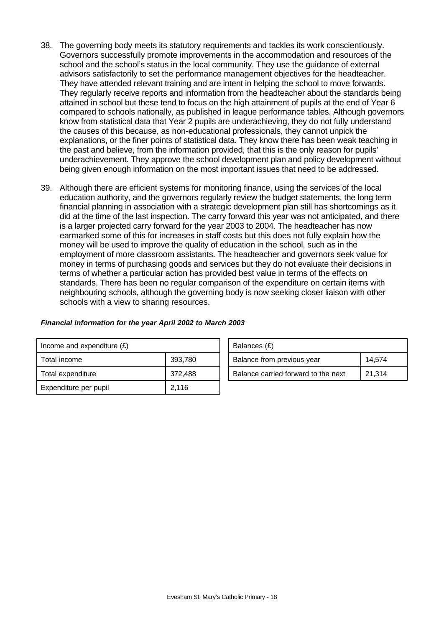- 38. The governing body meets its statutory requirements and tackles its work conscientiously. Governors successfully promote improvements in the accommodation and resources of the school and the school's status in the local community. They use the guidance of external advisors satisfactorily to set the performance management objectives for the headteacher. They have attended relevant training and are intent in helping the school to move forwards. They regularly receive reports and information from the headteacher about the standards being attained in school but these tend to focus on the high attainment of pupils at the end of Year 6 compared to schools nationally, as published in league performance tables. Although governors know from statistical data that Year 2 pupils are underachieving, they do not fully understand the causes of this because, as non-educational professionals, they cannot unpick the explanations, or the finer points of statistical data. They know there has been weak teaching in the past and believe, from the information provided, that this is the only reason for pupils' underachievement. They approve the school development plan and policy development without being given enough information on the most important issues that need to be addressed.
- 39. Although there are efficient systems for monitoring finance, using the services of the local education authority, and the governors regularly review the budget statements, the long term financial planning in association with a strategic development plan still has shortcomings as it did at the time of the last inspection. The carry forward this year was not anticipated, and there is a larger projected carry forward for the year 2003 to 2004. The headteacher has now earmarked some of this for increases in staff costs but this does not fully explain how the money will be used to improve the quality of education in the school, such as in the employment of more classroom assistants. The headteacher and governors seek value for money in terms of purchasing goods and services but they do not evaluate their decisions in terms of whether a particular action has provided best value in terms of the effects on standards. There has been no regular comparison of the expenditure on certain items with neighbouring schools, although the governing body is now seeking closer liaison with other schools with a view to sharing resources.

| Income and expenditure $(E)$ |         | Balances (£)                        |        |
|------------------------------|---------|-------------------------------------|--------|
| Total income                 | 393,780 | Balance from previous year          | 14.574 |
| Total expenditure            | 372,488 | Balance carried forward to the next | 21.314 |
| Expenditure per pupil        | 2,116   |                                     |        |

| Balances (£)                        |        |
|-------------------------------------|--------|
| Balance from previous year          | 14.574 |
| Balance carried forward to the next | 21.314 |

#### *Financial information for the year April 2002 to March 2003*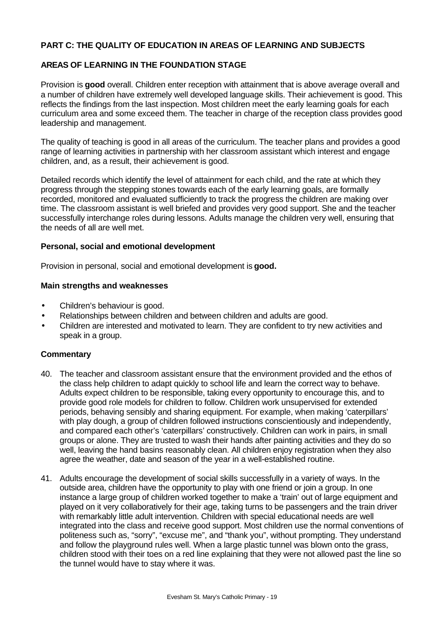## **PART C: THE QUALITY OF EDUCATION IN AREAS OF LEARNING AND SUBJECTS**

## **AREAS OF LEARNING IN THE FOUNDATION STAGE**

Provision is **good** overall. Children enter reception with attainment that is above average overall and a number of children have extremely well developed language skills. Their achievement is good. This reflects the findings from the last inspection. Most children meet the early learning goals for each curriculum area and some exceed them. The teacher in charge of the reception class provides good leadership and management.

The quality of teaching is good in all areas of the curriculum. The teacher plans and provides a good range of learning activities in partnership with her classroom assistant which interest and engage children, and, as a result, their achievement is good.

Detailed records which identify the level of attainment for each child, and the rate at which they progress through the stepping stones towards each of the early learning goals, are formally recorded, monitored and evaluated sufficiently to track the progress the children are making over time. The classroom assistant is well briefed and provides very good support. She and the teacher successfully interchange roles during lessons. Adults manage the children very well, ensuring that the needs of all are well met.

### **Personal, social and emotional development**

Provision in personal, social and emotional development is **good.**

### **Main strengths and weaknesses**

- Children's behaviour is good.
- Relationships between children and between children and adults are good.
- Children are interested and motivated to learn. They are confident to try new activities and speak in a group.

- 40. The teacher and classroom assistant ensure that the environment provided and the ethos of the class help children to adapt quickly to school life and learn the correct way to behave. Adults expect children to be responsible, taking every opportunity to encourage this, and to provide good role models for children to follow. Children work unsupervised for extended periods, behaving sensibly and sharing equipment. For example, when making 'caterpillars' with play dough, a group of children followed instructions conscientiously and independently, and compared each other's 'caterpillars' constructively. Children can work in pairs, in small groups or alone. They are trusted to wash their hands after painting activities and they do so well, leaving the hand basins reasonably clean. All children enjoy registration when they also agree the weather, date and season of the year in a well-established routine.
- 41. Adults encourage the development of social skills successfully in a variety of ways. In the outside area, children have the opportunity to play with one friend or join a group. In one instance a large group of children worked together to make a 'train' out of large equipment and played on it very collaboratively for their age, taking turns to be passengers and the train driver with remarkably little adult intervention. Children with special educational needs are well integrated into the class and receive good support. Most children use the normal conventions of politeness such as, "sorry", "excuse me", and "thank you", without prompting. They understand and follow the playground rules well. When a large plastic tunnel was blown onto the grass, children stood with their toes on a red line explaining that they were not allowed past the line so the tunnel would have to stay where it was.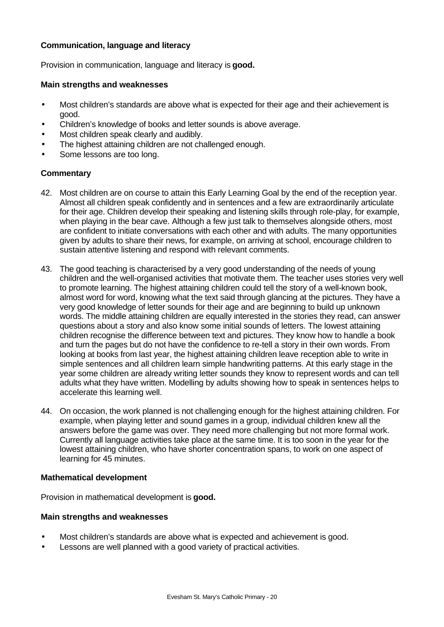## **Communication, language and literacy**

Provision in communication, language and literacy is **good.**

#### **Main strengths and weaknesses**

- Most children's standards are above what is expected for their age and their achievement is good.
- Children's knowledge of books and letter sounds is above average.
- Most children speak clearly and audibly.
- The highest attaining children are not challenged enough.
- Some lessons are too long.

### **Commentary**

- 42. Most children are on course to attain this Early Learning Goal by the end of the reception year. Almost all children speak confidently and in sentences and a few are extraordinarily articulate for their age. Children develop their speaking and listening skills through role-play, for example, when playing in the bear cave. Although a few just talk to themselves alongside others, most are confident to initiate conversations with each other and with adults. The many opportunities given by adults to share their news, for example, on arriving at school, encourage children to sustain attentive listening and respond with relevant comments.
- 43. The good teaching is characterised by a very good understanding of the needs of young children and the well-organised activities that motivate them. The teacher uses stories very well to promote learning. The highest attaining children could tell the story of a well-known book, almost word for word, knowing what the text said through glancing at the pictures. They have a very good knowledge of letter sounds for their age and are beginning to build up unknown words. The middle attaining children are equally interested in the stories they read, can answer questions about a story and also know some initial sounds of letters. The lowest attaining children recognise the difference between text and pictures. They know how to handle a book and turn the pages but do not have the confidence to re-tell a story in their own words. From looking at books from last year, the highest attaining children leave reception able to write in simple sentences and all children learn simple handwriting patterns. At this early stage in the year some children are already writing letter sounds they know to represent words and can tell adults what they have written. Modelling by adults showing how to speak in sentences helps to accelerate this learning well.
- 44. On occasion, the work planned is not challenging enough for the highest attaining children. For example, when playing letter and sound games in a group, individual children knew all the answers before the game was over. They need more challenging but not more formal work. Currently all language activities take place at the same time. It is too soon in the year for the lowest attaining children, who have shorter concentration spans, to work on one aspect of learning for 45 minutes.

#### **Mathematical development**

Provision in mathematical development is **good.**

#### **Main strengths and weaknesses**

- Most children's standards are above what is expected and achievement is good.
- Lessons are well planned with a good variety of practical activities.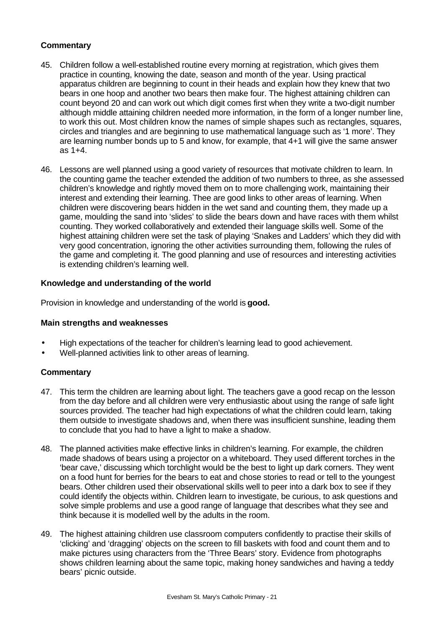# **Commentary**

- 45. Children follow a well-established routine every morning at registration, which gives them practice in counting, knowing the date, season and month of the year. Using practical apparatus children are beginning to count in their heads and explain how they knew that two bears in one hoop and another two bears then make four. The highest attaining children can count beyond 20 and can work out which digit comes first when they write a two-digit number although middle attaining children needed more information, in the form of a longer number line, to work this out. Most children know the names of simple shapes such as rectangles, squares, circles and triangles and are beginning to use mathematical language such as '1 more'. They are learning number bonds up to 5 and know, for example, that 4+1 will give the same answer as 1+4.
- 46. Lessons are well planned using a good variety of resources that motivate children to learn. In the counting game the teacher extended the addition of two numbers to three, as she assessed children's knowledge and rightly moved them on to more challenging work, maintaining their interest and extending their learning. Thee are good links to other areas of learning. When children were discovering bears hidden in the wet sand and counting them, they made up a game, moulding the sand into 'slides' to slide the bears down and have races with them whilst counting. They worked collaboratively and extended their language skills well. Some of the highest attaining children were set the task of playing 'Snakes and Ladders' which they did with very good concentration, ignoring the other activities surrounding them, following the rules of the game and completing it. The good planning and use of resources and interesting activities is extending children's learning well.

## **Knowledge and understanding of the world**

Provision in knowledge and understanding of the world is **good.**

## **Main strengths and weaknesses**

- High expectations of the teacher for children's learning lead to good achievement.
- Well-planned activities link to other areas of learning.

- 47. This term the children are learning about light. The teachers gave a good recap on the lesson from the day before and all children were very enthusiastic about using the range of safe light sources provided. The teacher had high expectations of what the children could learn, taking them outside to investigate shadows and, when there was insufficient sunshine, leading them to conclude that you had to have a light to make a shadow.
- 48. The planned activities make effective links in children's learning. For example, the children made shadows of bears using a projector on a whiteboard. They used different torches in the 'bear cave,' discussing which torchlight would be the best to light up dark corners. They went on a food hunt for berries for the bears to eat and chose stories to read or tell to the youngest bears. Other children used their observational skills well to peer into a dark box to see if they could identify the objects within. Children learn to investigate, be curious, to ask questions and solve simple problems and use a good range of language that describes what they see and think because it is modelled well by the adults in the room.
- 49. The highest attaining children use classroom computers confidently to practise their skills of 'clicking' and 'dragging' objects on the screen to fill baskets with food and count them and to make pictures using characters from the 'Three Bears' story. Evidence from photographs shows children learning about the same topic, making honey sandwiches and having a teddy bears' picnic outside.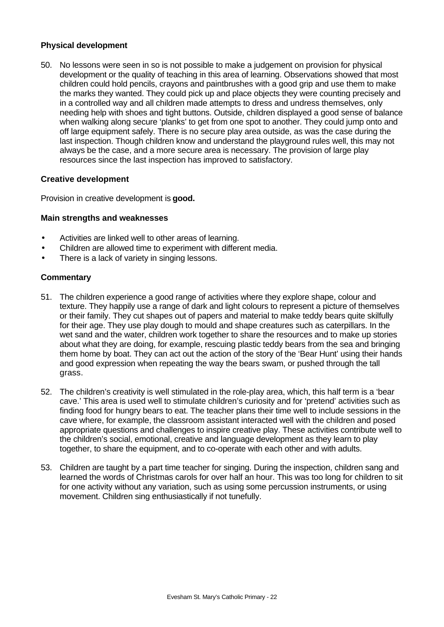### **Physical development**

50. No lessons were seen in so is not possible to make a judgement on provision for physical development or the quality of teaching in this area of learning. Observations showed that most children could hold pencils, crayons and paintbrushes with a good grip and use them to make the marks they wanted. They could pick up and place objects they were counting precisely and in a controlled way and all children made attempts to dress and undress themselves, only needing help with shoes and tight buttons. Outside, children displayed a good sense of balance when walking along secure 'planks' to get from one spot to another. They could jump onto and off large equipment safely. There is no secure play area outside, as was the case during the last inspection. Though children know and understand the playground rules well, this may not always be the case, and a more secure area is necessary. The provision of large play resources since the last inspection has improved to satisfactory.

### **Creative development**

Provision in creative development is **good.**

## **Main strengths and weaknesses**

- Activities are linked well to other areas of learning.
- Children are allowed time to experiment with different media.
- There is a lack of variety in singing lessons.

- 51. The children experience a good range of activities where they explore shape, colour and texture. They happily use a range of dark and light colours to represent a picture of themselves or their family. They cut shapes out of papers and material to make teddy bears quite skilfully for their age. They use play dough to mould and shape creatures such as caterpillars. In the wet sand and the water, children work together to share the resources and to make up stories about what they are doing, for example, rescuing plastic teddy bears from the sea and bringing them home by boat. They can act out the action of the story of the 'Bear Hunt' using their hands and good expression when repeating the way the bears swam, or pushed through the tall grass.
- 52. The children's creativity is well stimulated in the role-play area, which, this half term is a 'bear cave.' This area is used well to stimulate children's curiosity and for 'pretend' activities such as finding food for hungry bears to eat. The teacher plans their time well to include sessions in the cave where, for example, the classroom assistant interacted well with the children and posed appropriate questions and challenges to inspire creative play. These activities contribute well to the children's social, emotional, creative and language development as they learn to play together, to share the equipment, and to co-operate with each other and with adults.
- 53. Children are taught by a part time teacher for singing. During the inspection, children sang and learned the words of Christmas carols for over half an hour. This was too long for children to sit for one activity without any variation, such as using some percussion instruments, or using movement. Children sing enthusiastically if not tunefully.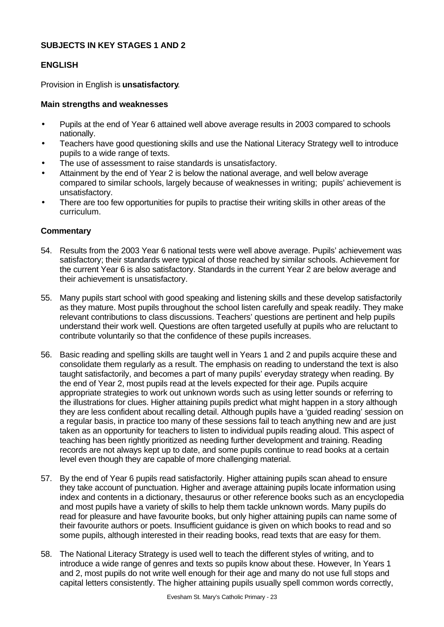## **SUBJECTS IN KEY STAGES 1 AND 2**

## **ENGLISH**

Provision in English is **unsatisfactory**.

## **Main strengths and weaknesses**

- Pupils at the end of Year 6 attained well above average results in 2003 compared to schools nationally.
- Teachers have good questioning skills and use the National Literacy Strategy well to introduce pupils to a wide range of texts.
- The use of assessment to raise standards is unsatisfactory.
- Attainment by the end of Year 2 is below the national average, and well below average compared to similar schools, largely because of weaknesses in writing; pupils' achievement is unsatisfactory.
- There are too few opportunities for pupils to practise their writing skills in other areas of the curriculum.

- 54. Results from the 2003 Year 6 national tests were well above average. Pupils' achievement was satisfactory; their standards were typical of those reached by similar schools. Achievement for the current Year 6 is also satisfactory. Standards in the current Year 2 are below average and their achievement is unsatisfactory.
- 55. Many pupils start school with good speaking and listening skills and these develop satisfactorily as they mature. Most pupils throughout the school listen carefully and speak readily. They make relevant contributions to class discussions. Teachers' questions are pertinent and help pupils understand their work well. Questions are often targeted usefully at pupils who are reluctant to contribute voluntarily so that the confidence of these pupils increases.
- 56. Basic reading and spelling skills are taught well in Years 1 and 2 and pupils acquire these and consolidate them regularly as a result. The emphasis on reading to understand the text is also taught satisfactorily, and becomes a part of many pupils' everyday strategy when reading. By the end of Year 2, most pupils read at the levels expected for their age. Pupils acquire appropriate strategies to work out unknown words such as using letter sounds or referring to the illustrations for clues. Higher attaining pupils predict what might happen in a story although they are less confident about recalling detail. Although pupils have a 'guided reading' session on a regular basis, in practice too many of these sessions fail to teach anything new and are just taken as an opportunity for teachers to listen to individual pupils reading aloud. This aspect of teaching has been rightly prioritized as needing further development and training. Reading records are not always kept up to date, and some pupils continue to read books at a certain level even though they are capable of more challenging material.
- 57. By the end of Year 6 pupils read satisfactorily. Higher attaining pupils scan ahead to ensure they take account of punctuation. Higher and average attaining pupils locate information using index and contents in a dictionary, thesaurus or other reference books such as an encyclopedia and most pupils have a variety of skills to help them tackle unknown words. Many pupils do read for pleasure and have favourite books, but only higher attaining pupils can name some of their favourite authors or poets. Insufficient guidance is given on which books to read and so some pupils, although interested in their reading books, read texts that are easy for them.
- 58. The National Literacy Strategy is used well to teach the different styles of writing, and to introduce a wide range of genres and texts so pupils know about these. However, In Years 1 and 2, most pupils do not write well enough for their age and many do not use full stops and capital letters consistently. The higher attaining pupils usually spell common words correctly,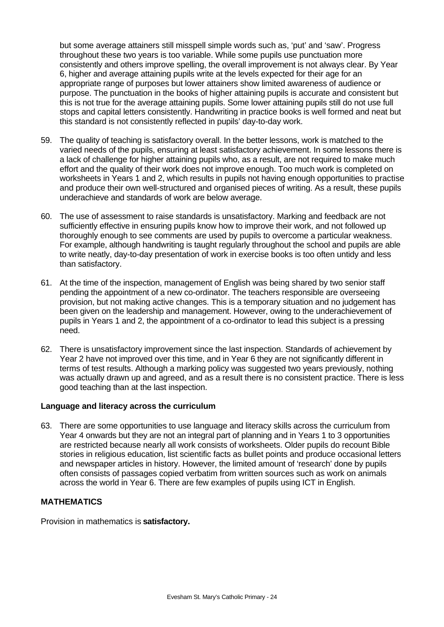but some average attainers still misspell simple words such as, 'put' and 'saw'. Progress throughout these two years is too variable. While some pupils use punctuation more consistently and others improve spelling, the overall improvement is not always clear. By Year 6, higher and average attaining pupils write at the levels expected for their age for an appropriate range of purposes but lower attainers show limited awareness of audience or purpose. The punctuation in the books of higher attaining pupils is accurate and consistent but this is not true for the average attaining pupils. Some lower attaining pupils still do not use full stops and capital letters consistently. Handwriting in practice books is well formed and neat but this standard is not consistently reflected in pupils' day-to-day work.

- 59. The quality of teaching is satisfactory overall. In the better lessons, work is matched to the varied needs of the pupils, ensuring at least satisfactory achievement. In some lessons there is a lack of challenge for higher attaining pupils who, as a result, are not required to make much effort and the quality of their work does not improve enough. Too much work is completed on worksheets in Years 1 and 2, which results in pupils not having enough opportunities to practise and produce their own well-structured and organised pieces of writing. As a result, these pupils underachieve and standards of work are below average.
- 60. The use of assessment to raise standards is unsatisfactory. Marking and feedback are not sufficiently effective in ensuring pupils know how to improve their work, and not followed up thoroughly enough to see comments are used by pupils to overcome a particular weakness. For example, although handwriting is taught regularly throughout the school and pupils are able to write neatly, day-to-day presentation of work in exercise books is too often untidy and less than satisfactory.
- 61. At the time of the inspection, management of English was being shared by two senior staff pending the appointment of a new co-ordinator. The teachers responsible are overseeing provision, but not making active changes. This is a temporary situation and no judgement has been given on the leadership and management. However, owing to the underachievement of pupils in Years 1 and 2, the appointment of a co-ordinator to lead this subject is a pressing need.
- 62. There is unsatisfactory improvement since the last inspection. Standards of achievement by Year 2 have not improved over this time, and in Year 6 they are not significantly different in terms of test results. Although a marking policy was suggested two years previously, nothing was actually drawn up and agreed, and as a result there is no consistent practice. There is less good teaching than at the last inspection.

#### **Language and literacy across the curriculum**

63. There are some opportunities to use language and literacy skills across the curriculum from Year 4 onwards but they are not an integral part of planning and in Years 1 to 3 opportunities are restricted because nearly all work consists of worksheets. Older pupils do recount Bible stories in religious education, list scientific facts as bullet points and produce occasional letters and newspaper articles in history. However, the limited amount of 'research' done by pupils often consists of passages copied verbatim from written sources such as work on animals across the world in Year 6. There are few examples of pupils using ICT in English.

## **MATHEMATICS**

Provision in mathematics is **satisfactory.**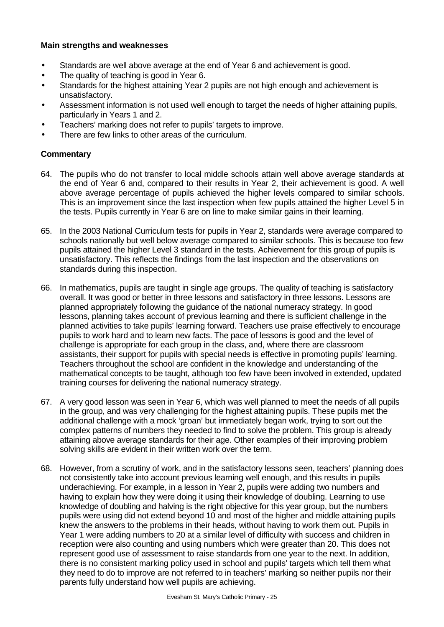## **Main strengths and weaknesses**

- Standards are well above average at the end of Year 6 and achievement is good.
- The quality of teaching is good in Year 6.
- Standards for the highest attaining Year 2 pupils are not high enough and achievement is unsatisfactory.
- Assessment information is not used well enough to target the needs of higher attaining pupils, particularly in Years 1 and 2.
- Teachers' marking does not refer to pupils' targets to improve.
- There are few links to other areas of the curriculum.

- 64. The pupils who do not transfer to local middle schools attain well above average standards at the end of Year 6 and, compared to their results in Year 2, their achievement is good. A well above average percentage of pupils achieved the higher levels compared to similar schools. This is an improvement since the last inspection when few pupils attained the higher Level 5 in the tests. Pupils currently in Year 6 are on line to make similar gains in their learning.
- 65. In the 2003 National Curriculum tests for pupils in Year 2, standards were average compared to schools nationally but well below average compared to similar schools. This is because too few pupils attained the higher Level 3 standard in the tests. Achievement for this group of pupils is unsatisfactory. This reflects the findings from the last inspection and the observations on standards during this inspection.
- 66. In mathematics, pupils are taught in single age groups. The quality of teaching is satisfactory overall. It was good or better in three lessons and satisfactory in three lessons. Lessons are planned appropriately following the guidance of the national numeracy strategy. In good lessons, planning takes account of previous learning and there is sufficient challenge in the planned activities to take pupils' learning forward. Teachers use praise effectively to encourage pupils to work hard and to learn new facts. The pace of lessons is good and the level of challenge is appropriate for each group in the class, and, where there are classroom assistants, their support for pupils with special needs is effective in promoting pupils' learning. Teachers throughout the school are confident in the knowledge and understanding of the mathematical concepts to be taught, although too few have been involved in extended, updated training courses for delivering the national numeracy strategy.
- 67. A very good lesson was seen in Year 6, which was well planned to meet the needs of all pupils in the group, and was very challenging for the highest attaining pupils. These pupils met the additional challenge with a mock 'groan' but immediately began work, trying to sort out the complex patterns of numbers they needed to find to solve the problem. This group is already attaining above average standards for their age. Other examples of their improving problem solving skills are evident in their written work over the term.
- 68. However, from a scrutiny of work, and in the satisfactory lessons seen, teachers' planning does not consistently take into account previous learning well enough, and this results in pupils underachieving. For example, in a lesson in Year 2, pupils were adding two numbers and having to explain how they were doing it using their knowledge of doubling. Learning to use knowledge of doubling and halving is the right objective for this year group, but the numbers pupils were using did not extend beyond 10 and most of the higher and middle attaining pupils knew the answers to the problems in their heads, without having to work them out. Pupils in Year 1 were adding numbers to 20 at a similar level of difficulty with success and children in reception were also counting and using numbers which were greater than 20. This does not represent good use of assessment to raise standards from one year to the next. In addition, there is no consistent marking policy used in school and pupils' targets which tell them what they need to do to improve are not referred to in teachers' marking so neither pupils nor their parents fully understand how well pupils are achieving.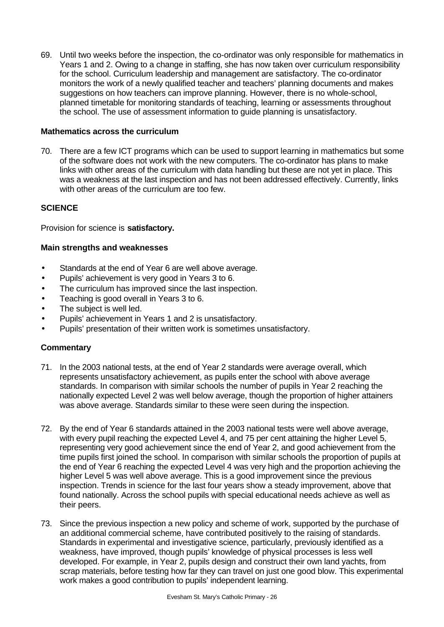69. Until two weeks before the inspection, the co-ordinator was only responsible for mathematics in Years 1 and 2. Owing to a change in staffing, she has now taken over curriculum responsibility for the school. Curriculum leadership and management are satisfactory. The co-ordinator monitors the work of a newly qualified teacher and teachers' planning documents and makes suggestions on how teachers can improve planning. However, there is no whole-school, planned timetable for monitoring standards of teaching, learning or assessments throughout the school. The use of assessment information to guide planning is unsatisfactory.

## **Mathematics across the curriculum**

70. There are a few ICT programs which can be used to support learning in mathematics but some of the software does not work with the new computers. The co-ordinator has plans to make links with other areas of the curriculum with data handling but these are not yet in place. This was a weakness at the last inspection and has not been addressed effectively. Currently, links with other areas of the curriculum are too few.

## **SCIENCE**

Provision for science is **satisfactory.**

## **Main strengths and weaknesses**

- Standards at the end of Year 6 are well above average.
- Pupils' achievement is very good in Years 3 to 6.
- The curriculum has improved since the last inspection.
- Teaching is good overall in Years 3 to 6.
- The subject is well led.
- Pupils' achievement in Years 1 and 2 is unsatisfactory.
- Pupils' presentation of their written work is sometimes unsatisfactory.

- 71. In the 2003 national tests, at the end of Year 2 standards were average overall, which represents unsatisfactory achievement, as pupils enter the school with above average standards. In comparison with similar schools the number of pupils in Year 2 reaching the nationally expected Level 2 was well below average, though the proportion of higher attainers was above average. Standards similar to these were seen during the inspection.
- 72. By the end of Year 6 standards attained in the 2003 national tests were well above average, with every pupil reaching the expected Level 4, and 75 per cent attaining the higher Level 5, representing very good achievement since the end of Year 2, and good achievement from the time pupils first joined the school. In comparison with similar schools the proportion of pupils at the end of Year 6 reaching the expected Level 4 was very high and the proportion achieving the higher Level 5 was well above average. This is a good improvement since the previous inspection. Trends in science for the last four years show a steady improvement, above that found nationally. Across the school pupils with special educational needs achieve as well as their peers.
- 73. Since the previous inspection a new policy and scheme of work, supported by the purchase of an additional commercial scheme, have contributed positively to the raising of standards. Standards in experimental and investigative science, particularly, previously identified as a weakness, have improved, though pupils' knowledge of physical processes is less well developed. For example, in Year 2, pupils design and construct their own land yachts, from scrap materials, before testing how far they can travel on just one good blow. This experimental work makes a good contribution to pupils' independent learning.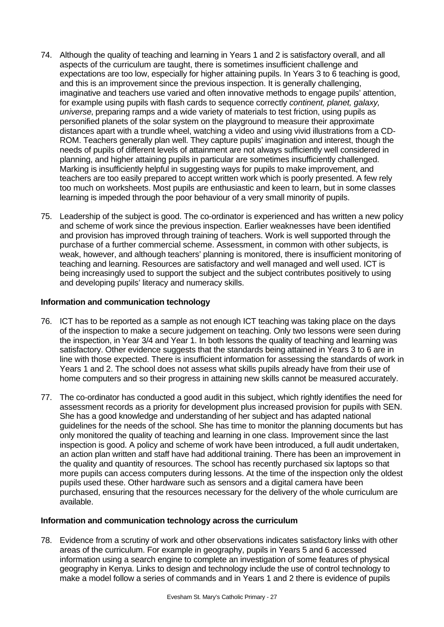- 74. Although the quality of teaching and learning in Years 1 and 2 is satisfactory overall, and all aspects of the curriculum are taught, there is sometimes insufficient challenge and expectations are too low, especially for higher attaining pupils. In Years 3 to 6 teaching is good, and this is an improvement since the previous inspection. It is generally challenging, imaginative and teachers use varied and often innovative methods to engage pupils' attention, for example using pupils with flash cards to sequence correctly *continent, planet, galaxy, universe*, preparing ramps and a wide variety of materials to test friction, using pupils as personified planets of the solar system on the playground to measure their approximate distances apart with a trundle wheel, watching a video and using vivid illustrations from a CD-ROM. Teachers generally plan well. They capture pupils' imagination and interest, though the needs of pupils of different levels of attainment are not always sufficiently well considered in planning, and higher attaining pupils in particular are sometimes insufficiently challenged. Marking is insufficiently helpful in suggesting ways for pupils to make improvement, and teachers are too easily prepared to accept written work which is poorly presented. A few rely too much on worksheets. Most pupils are enthusiastic and keen to learn, but in some classes learning is impeded through the poor behaviour of a very small minority of pupils.
- 75. Leadership of the subject is good. The co-ordinator is experienced and has written a new policy and scheme of work since the previous inspection. Earlier weaknesses have been identified and provision has improved through training of teachers. Work is well supported through the purchase of a further commercial scheme. Assessment, in common with other subjects, is weak, however, and although teachers' planning is monitored, there is insufficient monitoring of teaching and learning. Resources are satisfactory and well managed and well used. ICT is being increasingly used to support the subject and the subject contributes positively to using and developing pupils' literacy and numeracy skills.

## **Information and communication technology**

- 76. ICT has to be reported as a sample as not enough ICT teaching was taking place on the days of the inspection to make a secure judgement on teaching. Only two lessons were seen during the inspection, in Year 3/4 and Year 1. In both lessons the quality of teaching and learning was satisfactory. Other evidence suggests that the standards being attained in Years 3 to 6 are in line with those expected. There is insufficient information for assessing the standards of work in Years 1 and 2. The school does not assess what skills pupils already have from their use of home computers and so their progress in attaining new skills cannot be measured accurately.
- 77. The co-ordinator has conducted a good audit in this subject, which rightly identifies the need for assessment records as a priority for development plus increased provision for pupils with SEN. She has a good knowledge and understanding of her subject and has adapted national guidelines for the needs of the school. She has time to monitor the planning documents but has only monitored the quality of teaching and learning in one class. Improvement since the last inspection is good. A policy and scheme of work have been introduced, a full audit undertaken, an action plan written and staff have had additional training. There has been an improvement in the quality and quantity of resources. The school has recently purchased six laptops so that more pupils can access computers during lessons. At the time of the inspection only the oldest pupils used these. Other hardware such as sensors and a digital camera have been purchased, ensuring that the resources necessary for the delivery of the whole curriculum are available.

# **Information and communication technology across the curriculum**

78. Evidence from a scrutiny of work and other observations indicates satisfactory links with other areas of the curriculum. For example in geography, pupils in Years 5 and 6 accessed information using a search engine to complete an investigation of some features of physical geography in Kenya. Links to design and technology include the use of control technology to make a model follow a series of commands and in Years 1 and 2 there is evidence of pupils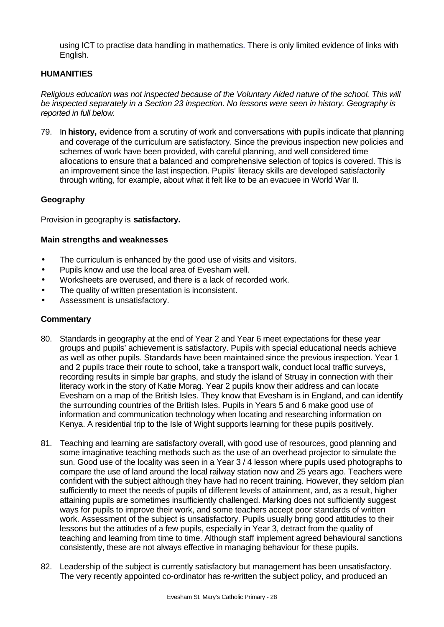using ICT to practise data handling in mathematics. There is only limited evidence of links with English.

## **HUMANITIES**

*Religious education was not inspected because of the Voluntary Aided nature of the school. This will be inspected separately in a Section 23 inspection. No lessons were seen in history. Geography is reported in full below.*

79. In **history,** evidence from a scrutiny of work and conversations with pupils indicate that planning and coverage of the curriculum are satisfactory. Since the previous inspection new policies and schemes of work have been provided, with careful planning, and well considered time allocations to ensure that a balanced and comprehensive selection of topics is covered. This is an improvement since the last inspection. Pupils' literacy skills are developed satisfactorily through writing, for example, about what it felt like to be an evacuee in World War II.

## **Geography**

Provision in geography is **satisfactory.**

### **Main strengths and weaknesses**

- The curriculum is enhanced by the good use of visits and visitors.
- Pupils know and use the local area of Evesham well.
- Worksheets are overused, and there is a lack of recorded work.
- The quality of written presentation is inconsistent.
- Assessment is unsatisfactory.

- 80. Standards in geography at the end of Year 2 and Year 6 meet expectations for these year groups and pupils' achievement is satisfactory. Pupils with special educational needs achieve as well as other pupils. Standards have been maintained since the previous inspection. Year 1 and 2 pupils trace their route to school, take a transport walk, conduct local traffic surveys, recording results in simple bar graphs, and study the island of Struay in connection with their literacy work in the story of Katie Morag. Year 2 pupils know their address and can locate Evesham on a map of the British Isles. They know that Evesham is in England, and can identify the surrounding countries of the British Isles. Pupils in Years 5 and 6 make good use of information and communication technology when locating and researching information on Kenya. A residential trip to the Isle of Wight supports learning for these pupils positively.
- 81. Teaching and learning are satisfactory overall, with good use of resources, good planning and some imaginative teaching methods such as the use of an overhead projector to simulate the sun. Good use of the locality was seen in a Year 3 / 4 lesson where pupils used photographs to compare the use of land around the local railway station now and 25 years ago. Teachers were confident with the subject although they have had no recent training. However, they seldom plan sufficiently to meet the needs of pupils of different levels of attainment, and, as a result, higher attaining pupils are sometimes insufficiently challenged. Marking does not sufficiently suggest ways for pupils to improve their work, and some teachers accept poor standards of written work. Assessment of the subject is unsatisfactory. Pupils usually bring good attitudes to their lessons but the attitudes of a few pupils, especially in Year 3, detract from the quality of teaching and learning from time to time. Although staff implement agreed behavioural sanctions consistently, these are not always effective in managing behaviour for these pupils.
- 82. Leadership of the subject is currently satisfactory but management has been unsatisfactory. The very recently appointed co-ordinator has re-written the subject policy, and produced an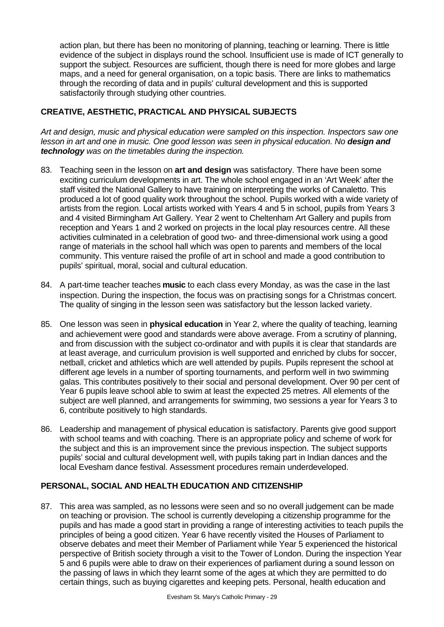action plan, but there has been no monitoring of planning, teaching or learning. There is little evidence of the subject in displays round the school. Insufficient use is made of ICT generally to support the subject. Resources are sufficient, though there is need for more globes and large maps, and a need for general organisation, on a topic basis. There are links to mathematics through the recording of data and in pupils' cultural development and this is supported satisfactorily through studying other countries.

# **CREATIVE, AESTHETIC, PRACTICAL AND PHYSICAL SUBJECTS**

*Art and design, music and physical education were sampled on this inspection. Inspectors saw one lesson in art and one in music. One good lesson was seen in physical education. No design and technology was on the timetables during the inspection.*

- 83. Teaching seen in the lesson on **art and design** was satisfactory. There have been some exciting curriculum developments in art. The whole school engaged in an 'Art Week' after the staff visited the National Gallery to have training on interpreting the works of Canaletto. This produced a lot of good quality work throughout the school. Pupils worked with a wide variety of artists from the region. Local artists worked with Years 4 and 5 in school, pupils from Years 3 and 4 visited Birmingham Art Gallery. Year 2 went to Cheltenham Art Gallery and pupils from reception and Years 1 and 2 worked on projects in the local play resources centre. All these activities culminated in a celebration of good two- and three-dimensional work using a good range of materials in the school hall which was open to parents and members of the local community. This venture raised the profile of art in school and made a good contribution to pupils' spiritual, moral, social and cultural education.
- 84. A part-time teacher teaches **music** to each class every Monday, as was the case in the last inspection. During the inspection, the focus was on practising songs for a Christmas concert. The quality of singing in the lesson seen was satisfactory but the lesson lacked variety.
- 85. One lesson was seen in **physical education** in Year 2, where the quality of teaching, learning and achievement were good and standards were above average. From a scrutiny of planning, and from discussion with the subject co-ordinator and with pupils it is clear that standards are at least average, and curriculum provision is well supported and enriched by clubs for soccer, netball, cricket and athletics which are well attended by pupils. Pupils represent the school at different age levels in a number of sporting tournaments, and perform well in two swimming galas. This contributes positively to their social and personal development. Over 90 per cent of Year 6 pupils leave school able to swim at least the expected 25 metres. All elements of the subject are well planned, and arrangements for swimming, two sessions a year for Years 3 to 6, contribute positively to high standards.
- 86. Leadership and management of physical education is satisfactory. Parents give good support with school teams and with coaching. There is an appropriate policy and scheme of work for the subject and this is an improvement since the previous inspection. The subject supports pupils' social and cultural development well, with pupils taking part in Indian dances and the local Evesham dance festival. Assessment procedures remain underdeveloped.

# **PERSONAL, SOCIAL AND HEALTH EDUCATION AND CITIZENSHIP**

87. This area was sampled, as no lessons were seen and so no overall judgement can be made on teaching or provision. The school is currently developing a citizenship programme for the pupils and has made a good start in providing a range of interesting activities to teach pupils the principles of being a good citizen. Year 6 have recently visited the Houses of Parliament to observe debates and meet their Member of Parliament while Year 5 experienced the historical perspective of British society through a visit to the Tower of London. During the inspection Year 5 and 6 pupils were able to draw on their experiences of parliament during a sound lesson on the passing of laws in which they learnt some of the ages at which they are permitted to do certain things, such as buying cigarettes and keeping pets. Personal, health education and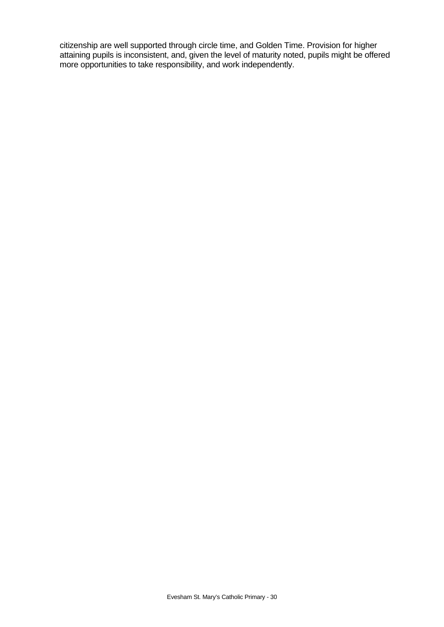citizenship are well supported through circle time, and Golden Time. Provision for higher attaining pupils is inconsistent, and, given the level of maturity noted, pupils might be offered more opportunities to take responsibility, and work independently.